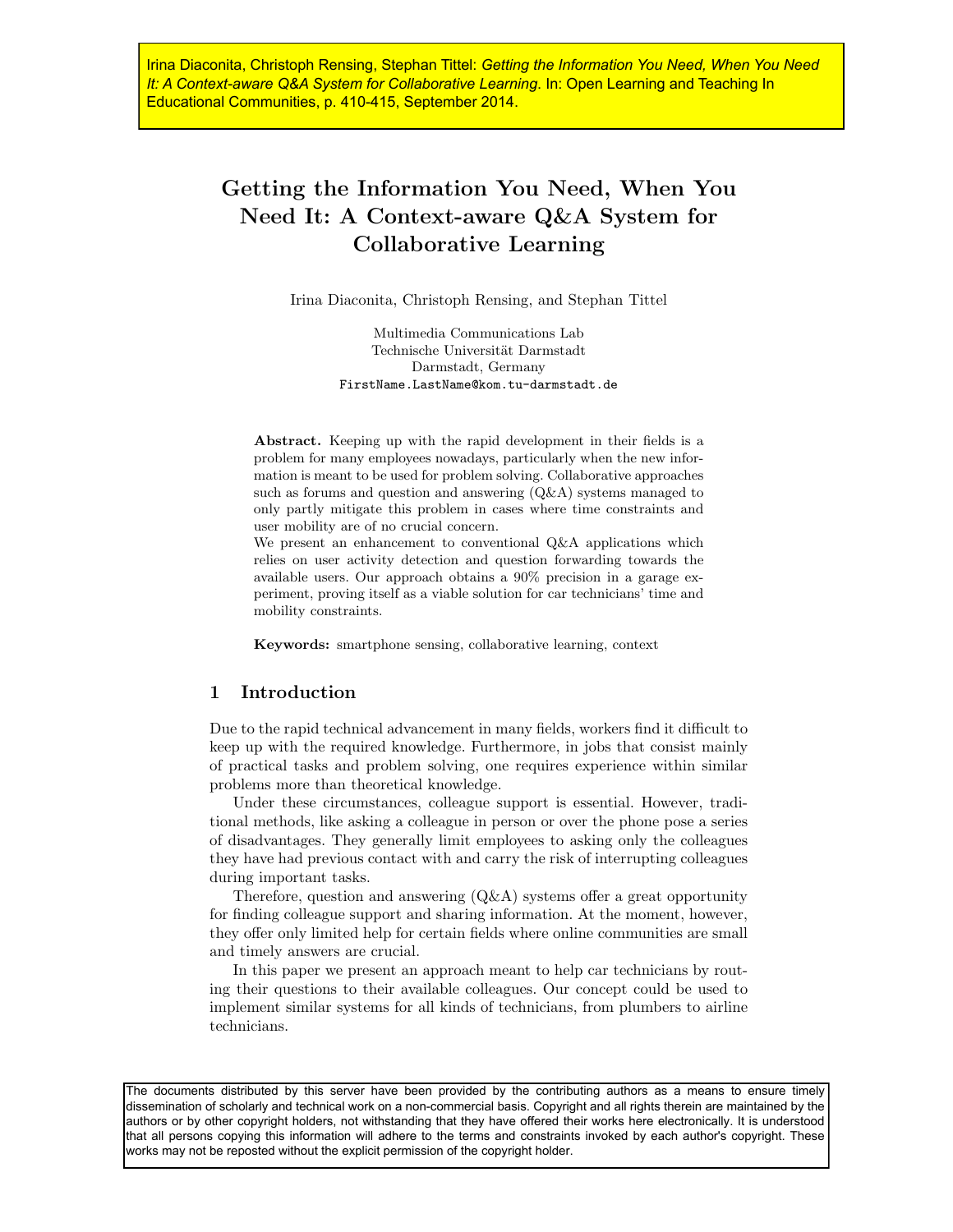Irina Diaconita, Christoph Rensing, Stephan Tittel: *Getting the Information You Need, When You Need It: A Context-aware Q&A System for Collaborative Learning.* In: Open Learning and Teaching In Educational Communities, p. 410-415, September 2014.

# Getting the Information You Need, When You Need It: A Context-aware Q&A System for Collaborative Learning

Irina Diaconita, Christoph Rensing, and Stephan Tittel

Multimedia Communications Lab Technische Universität Darmstadt Darmstadt, Germany FirstName.LastName@kom.tu-darmstadt.de

Abstract. Keeping up with the rapid development in their fields is a problem for many employees nowadays, particularly when the new information is meant to be used for problem solving. Collaborative approaches such as forums and question and answering (Q&A) systems managed to only partly mitigate this problem in cases where time constraints and user mobility are of no crucial concern.

We present an enhancement to conventional Q&A applications which relies on user activity detection and question forwarding towards the available users. Our approach obtains a 90% precision in a garage experiment, proving itself as a viable solution for car technicians' time and mobility constraints.

Keywords: smartphone sensing, collaborative learning, context

## 1 Introduction

Due to the rapid technical advancement in many fields, workers find it difficult to keep up with the required knowledge. Furthermore, in jobs that consist mainly of practical tasks and problem solving, one requires experience within similar problems more than theoretical knowledge.

Under these circumstances, colleague support is essential. However, traditional methods, like asking a colleague in person or over the phone pose a series of disadvantages. They generally limit employees to asking only the colleagues they have had previous contact with and carry the risk of interrupting colleagues during important tasks.

Therefore, question and answering  $(Q\&A)$  systems offer a great opportunity for finding colleague support and sharing information. At the moment, however, they offer only limited help for certain fields where online communities are small and timely answers are crucial.

In this paper we present an approach meant to help car technicians by routing their questions to their available colleagues. Our concept could be used to implement similar systems for all kinds of technicians, from plumbers to airline technicians.

The documents distributed by this server have been provided by the contributing authors as a means to ensure timely dissemination of scholarly and technical work on a non-commercial basis. Copyright and all rights therein are maintained by the authors or by other copyright holders, not withstanding that they have offered their works here electronically. It is understood that all persons copying this information will adhere to the terms and constraints invoked by each author's copyright. These works may not be reposted without the explicit permission of the copyright holder.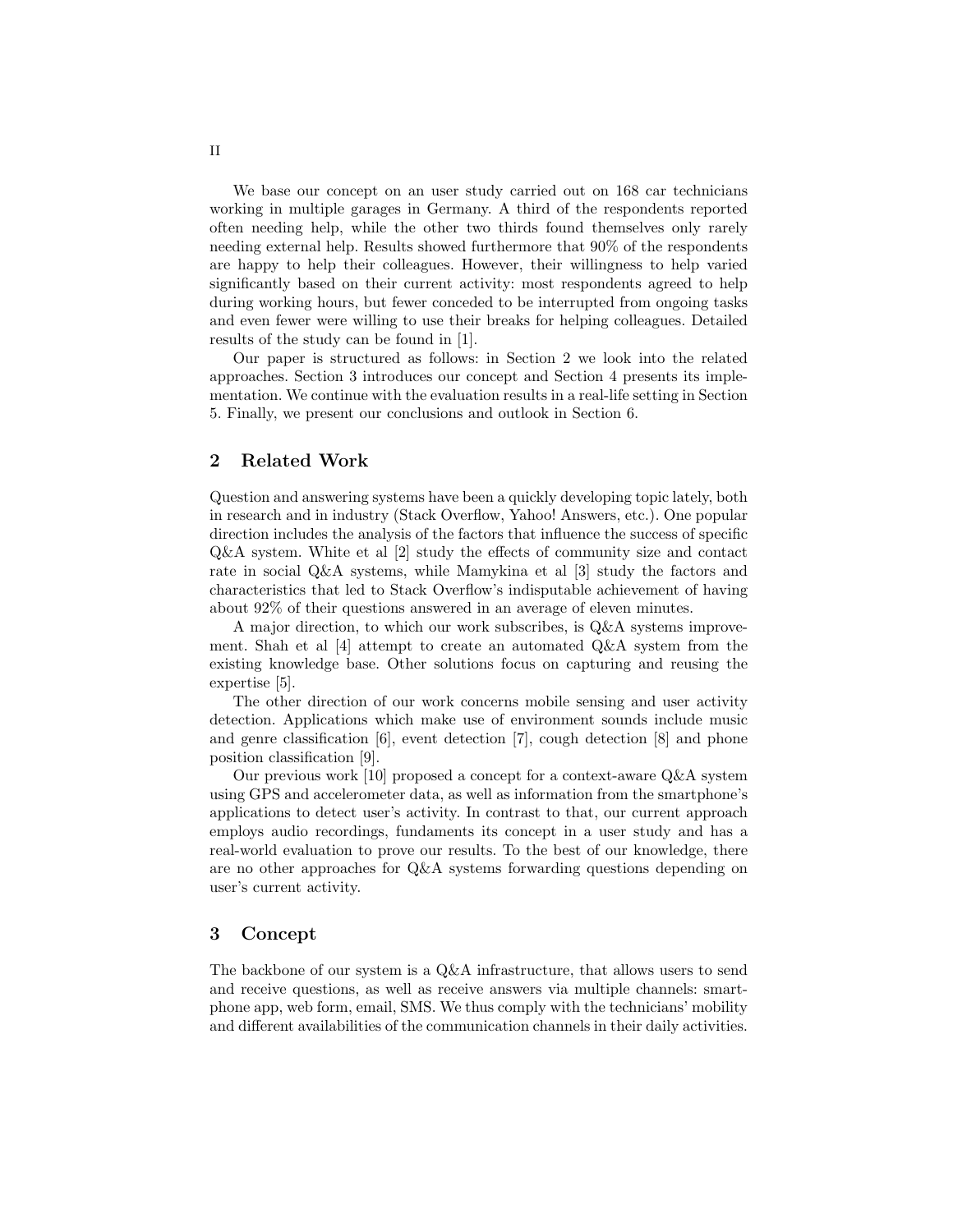We base our concept on an user study carried out on 168 car technicians working in multiple garages in Germany. A third of the respondents reported often needing help, while the other two thirds found themselves only rarely needing external help. Results showed furthermore that 90% of the respondents are happy to help their colleagues. However, their willingness to help varied significantly based on their current activity: most respondents agreed to help during working hours, but fewer conceded to be interrupted from ongoing tasks and even fewer were willing to use their breaks for helping colleagues. Detailed results of the study can be found in [1].

Our paper is structured as follows: in Section 2 we look into the related approaches. Section 3 introduces our concept and Section 4 presents its implementation. We continue with the evaluation results in a real-life setting in Section 5. Finally, we present our conclusions and outlook in Section 6.

# 2 Related Work

Question and answering systems have been a quickly developing topic lately, both in research and in industry (Stack Overflow, Yahoo! Answers, etc.). One popular direction includes the analysis of the factors that influence the success of specific Q&A system. White et al [2] study the effects of community size and contact rate in social Q&A systems, while Mamykina et al [3] study the factors and characteristics that led to Stack Overflow's indisputable achievement of having about 92% of their questions answered in an average of eleven minutes.

A major direction, to which our work subscribes, is Q&A systems improvement. Shah et al [4] attempt to create an automated Q&A system from the existing knowledge base. Other solutions focus on capturing and reusing the expertise [5].

The other direction of our work concerns mobile sensing and user activity detection. Applications which make use of environment sounds include music and genre classification [6], event detection [7], cough detection [8] and phone position classification [9].

Our previous work [10] proposed a concept for a context-aware Q&A system using GPS and accelerometer data, as well as information from the smartphone's applications to detect user's activity. In contrast to that, our current approach employs audio recordings, fundaments its concept in a user study and has a real-world evaluation to prove our results. To the best of our knowledge, there are no other approaches for Q&A systems forwarding questions depending on user's current activity.

## 3 Concept

The backbone of our system is a Q&A infrastructure, that allows users to send and receive questions, as well as receive answers via multiple channels: smartphone app, web form, email, SMS. We thus comply with the technicians' mobility and different availabilities of the communication channels in their daily activities.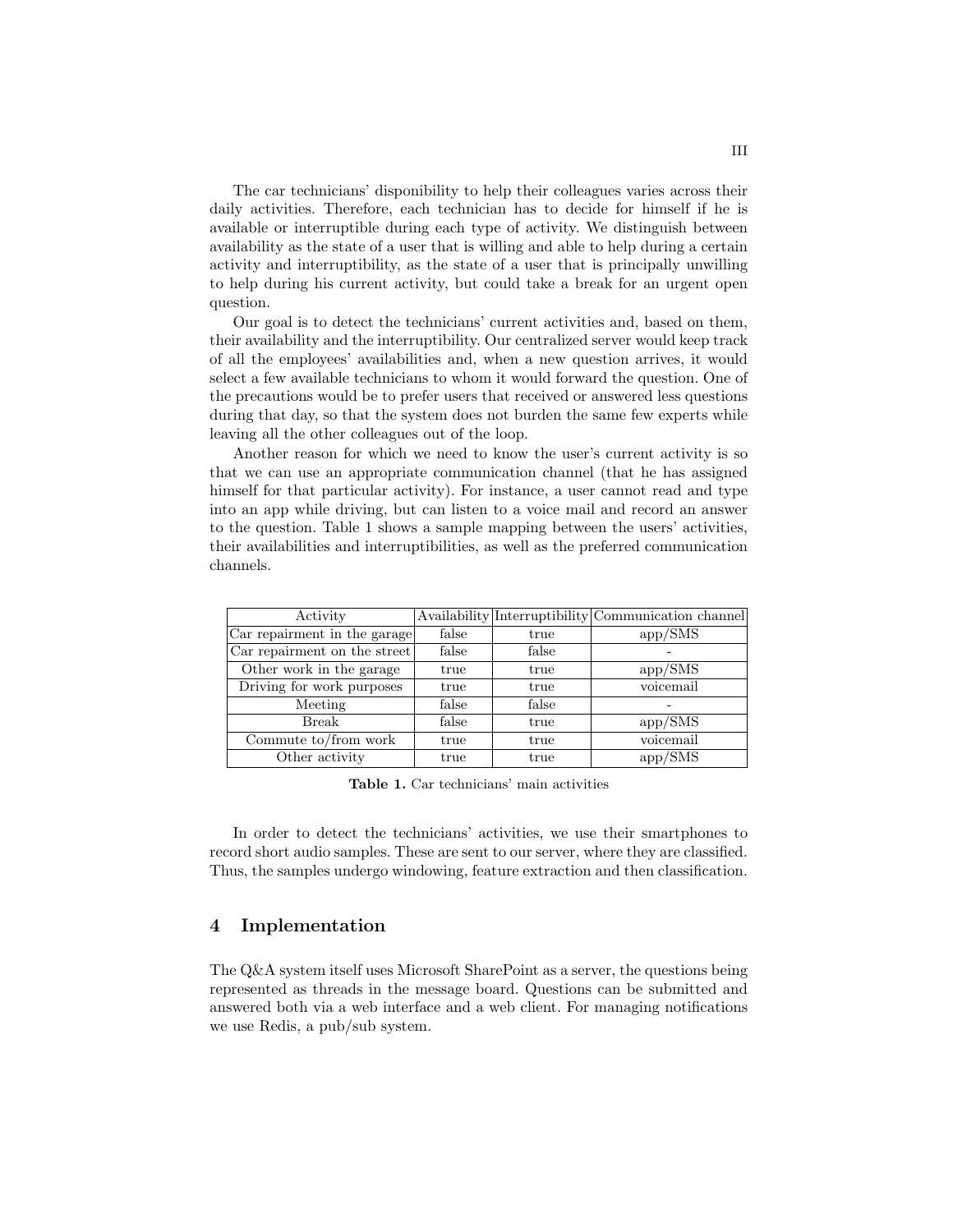The car technicians' disponibility to help their colleagues varies across their daily activities. Therefore, each technician has to decide for himself if he is available or interruptible during each type of activity. We distinguish between availability as the state of a user that is willing and able to help during a certain activity and interruptibility, as the state of a user that is principally unwilling to help during his current activity, but could take a break for an urgent open question.

Our goal is to detect the technicians' current activities and, based on them, their availability and the interruptibility. Our centralized server would keep track of all the employees' availabilities and, when a new question arrives, it would select a few available technicians to whom it would forward the question. One of the precautions would be to prefer users that received or answered less questions during that day, so that the system does not burden the same few experts while leaving all the other colleagues out of the loop.

Another reason for which we need to know the user's current activity is so that we can use an appropriate communication channel (that he has assigned himself for that particular activity). For instance, a user cannot read and type into an app while driving, but can listen to a voice mail and record an answer to the question. Table 1 shows a sample mapping between the users' activities, their availabilities and interruptibilities, as well as the preferred communication channels.

| Activity                     |       |       | Availability Interruptibility Communication channel |  |
|------------------------------|-------|-------|-----------------------------------------------------|--|
| Car repairment in the garage | false | true  | app/SMS                                             |  |
| Car repairment on the street | false | false |                                                     |  |
| Other work in the garage     | true  | true  | app/SMS                                             |  |
| Driving for work purposes    | true  | true  | voicemail                                           |  |
| Meeting                      | false | false |                                                     |  |
| Break                        | false | true  | app/SMS                                             |  |
| Commute to/from work         | true  | true  | voicemail                                           |  |
| Other activity               | true  | true  | app/SMS                                             |  |

Table 1. Car technicians' main activities

In order to detect the technicians' activities, we use their smartphones to record short audio samples. These are sent to our server, where they are classified. Thus, the samples undergo windowing, feature extraction and then classification.

## 4 Implementation

The Q&A system itself uses Microsoft SharePoint as a server, the questions being represented as threads in the message board. Questions can be submitted and answered both via a web interface and a web client. For managing notifications we use Redis, a pub/sub system.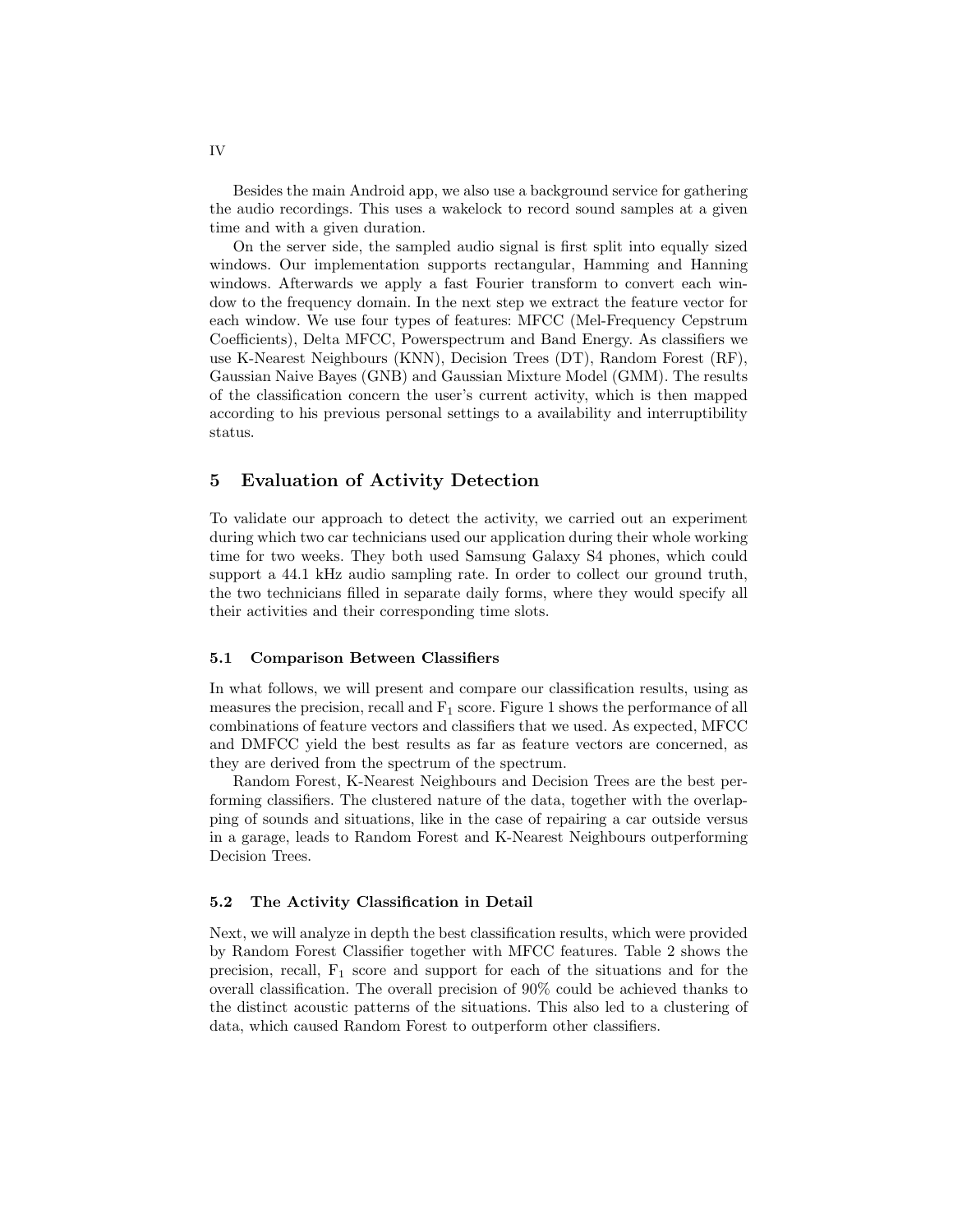Besides the main Android app, we also use a background service for gathering the audio recordings. This uses a wakelock to record sound samples at a given time and with a given duration.

On the server side, the sampled audio signal is first split into equally sized windows. Our implementation supports rectangular, Hamming and Hanning windows. Afterwards we apply a fast Fourier transform to convert each window to the frequency domain. In the next step we extract the feature vector for each window. We use four types of features: MFCC (Mel-Frequency Cepstrum Coefficients), Delta MFCC, Powerspectrum and Band Energy. As classifiers we use K-Nearest Neighbours (KNN), Decision Trees (DT), Random Forest (RF), Gaussian Naive Bayes (GNB) and Gaussian Mixture Model (GMM). The results of the classification concern the user's current activity, which is then mapped according to his previous personal settings to a availability and interruptibility status.

# 5 Evaluation of Activity Detection

To validate our approach to detect the activity, we carried out an experiment during which two car technicians used our application during their whole working time for two weeks. They both used Samsung Galaxy S4 phones, which could support a 44.1 kHz audio sampling rate. In order to collect our ground truth, the two technicians filled in separate daily forms, where they would specify all their activities and their corresponding time slots.

#### 5.1 Comparison Between Classifiers

In what follows, we will present and compare our classification results, using as measures the precision, recall and  $F_1$  score. Figure 1 shows the performance of all combinations of feature vectors and classifiers that we used. As expected, MFCC and DMFCC yield the best results as far as feature vectors are concerned, as they are derived from the spectrum of the spectrum.

Random Forest, K-Nearest Neighbours and Decision Trees are the best performing classifiers. The clustered nature of the data, together with the overlapping of sounds and situations, like in the case of repairing a car outside versus in a garage, leads to Random Forest and K-Nearest Neighbours outperforming Decision Trees.

#### 5.2 The Activity Classification in Detail

Next, we will analyze in depth the best classification results, which were provided by Random Forest Classifier together with MFCC features. Table 2 shows the precision, recall,  $F_1$  score and support for each of the situations and for the overall classification. The overall precision of 90% could be achieved thanks to the distinct acoustic patterns of the situations. This also led to a clustering of data, which caused Random Forest to outperform other classifiers.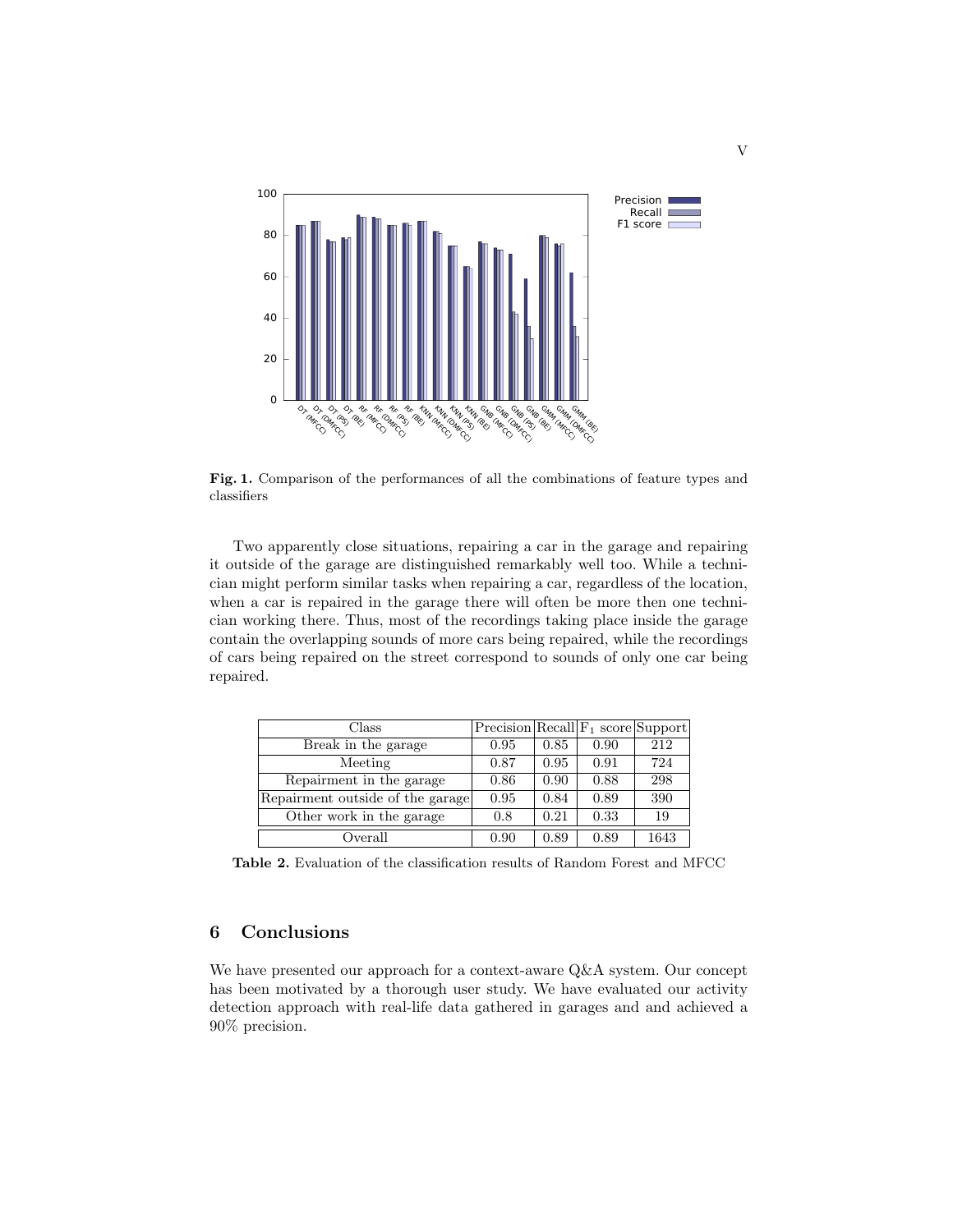

Fig. 1. Comparison of the performances of all the combinations of feature types and classifiers

Two apparently close situations, repairing a car in the garage and repairing it outside of the garage are distinguished remarkably well too. While a technician might perform similar tasks when repairing a car, regardless of the location, when a car is repaired in the garage there will often be more then one technician working there. Thus, most of the recordings taking place inside the garage contain the overlapping sounds of more cars being repaired, while the recordings of cars being repaired on the street correspond to sounds of only one car being repaired.

| Class                            | $Precision Recall F_1 score Support $ |      |      |      |
|----------------------------------|---------------------------------------|------|------|------|
| Break in the garage              | 0.95                                  | 0.85 | 0.90 | 212  |
| Meeting                          | 0.87                                  | 0.95 | 0.91 | 724  |
| Repairment in the garage.        | 0.86                                  | 0.90 | 0.88 | 298  |
| Repairment outside of the garage | 0.95                                  | 0.84 | 0.89 | 390  |
| Other work in the garage         | 0.8                                   | 0.21 | 0.33 | 19   |
| Overall                          | 0.90                                  | 0.89 | 0.89 | 1643 |

Table 2. Evaluation of the classification results of Random Forest and MFCC

# 6 Conclusions

We have presented our approach for a context-aware Q&A system. Our concept has been motivated by a thorough user study. We have evaluated our activity detection approach with real-life data gathered in garages and and achieved a 90% precision.